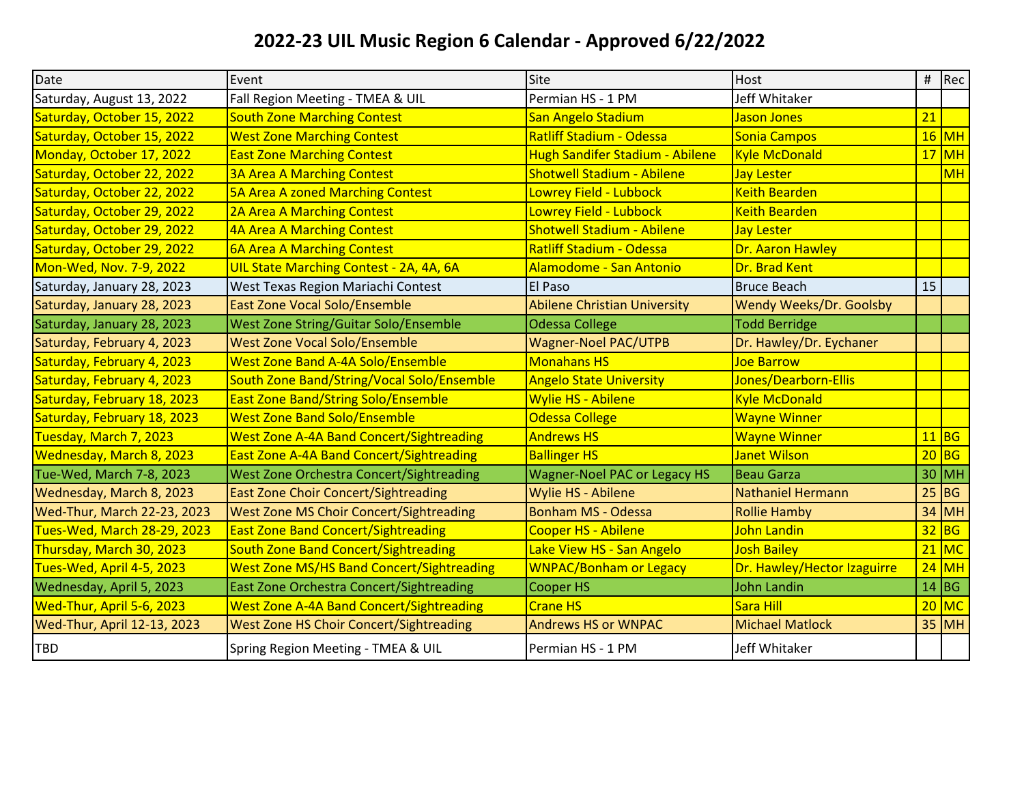## **2022-23 UIL Music Region 6 Calendar - Approved 6/22/2022**

| Date                        | Event                                            | Site                                | <b>Host</b>                    |    | # $ Rec$  |
|-----------------------------|--------------------------------------------------|-------------------------------------|--------------------------------|----|-----------|
| Saturday, August 13, 2022   | Fall Region Meeting - TMEA & UIL                 | Permian HS - 1 PM                   | Jeff Whitaker                  |    |           |
| Saturday, October 15, 2022  | <b>South Zone Marching Contest</b>               | San Angelo Stadium                  | Jason Jones                    | 21 |           |
| Saturday, October 15, 2022  | <b>West Zone Marching Contest</b>                | <b>Ratliff Stadium - Odessa</b>     | Sonia Campos                   |    | $16$ MH   |
| Monday, October 17, 2022    | <b>East Zone Marching Contest</b>                | Hugh Sandifer Stadium - Abilene     | <b>Kyle McDonald</b>           |    | $17$ MH   |
| Saturday, October 22, 2022  | <b>3A Area A Marching Contest</b>                | <b>Shotwell Stadium - Abilene</b>   | <b>Jay Lester</b>              |    | <b>MH</b> |
| Saturday, October 22, 2022  | 5A Area A zoned Marching Contest                 | Lowrey Field - Lubbock              | <b>Keith Bearden</b>           |    |           |
| Saturday, October 29, 2022  | 2A Area A Marching Contest                       | Lowrey Field - Lubbock              | <b>Keith Bearden</b>           |    |           |
| Saturday, October 29, 2022  | 4A Area A Marching Contest                       | <b>Shotwell Stadium - Abilene</b>   | <b>Jay Lester</b>              |    |           |
| Saturday, October 29, 2022  | <b>6A Area A Marching Contest</b>                | <b>Ratliff Stadium - Odessa</b>     | Dr. Aaron Hawley               |    |           |
| Mon-Wed, Nov. 7-9, 2022     | UIL State Marching Contest - 2A, 4A, 6A          | Alamodome - San Antonio             | Dr. Brad Kent                  |    |           |
| Saturday, January 28, 2023  | West Texas Region Mariachi Contest               | El Paso                             | <b>Bruce Beach</b>             | 15 |           |
| Saturday, January 28, 2023  | <b>East Zone Vocal Solo/Ensemble</b>             | <b>Abilene Christian University</b> | <b>Wendy Weeks/Dr. Goolsby</b> |    |           |
| Saturday, January 28, 2023  | <b>West Zone String/Guitar Solo/Ensemble</b>     | <b>Odessa College</b>               | <b>Todd Berridge</b>           |    |           |
| Saturday, February 4, 2023  | <b>West Zone Vocal Solo/Ensemble</b>             | <b>Wagner-Noel PAC/UTPB</b>         | Dr. Hawley/Dr. Eychaner        |    |           |
| Saturday, February 4, 2023  | <b>West Zone Band A-4A Solo/Ensemble</b>         | <b>Monahans HS</b>                  | Joe Barrow                     |    |           |
| Saturday, February 4, 2023  | South Zone Band/String/Vocal Solo/Ensemble       | <b>Angelo State University</b>      | Jones/Dearborn-Ellis           |    |           |
| Saturday, February 18, 2023 | <b>East Zone Band/String Solo/Ensemble</b>       | <b>Wylie HS - Abilene</b>           | <b>Kyle McDonald</b>           |    |           |
| Saturday, February 18, 2023 | <b>West Zone Band Solo/Ensemble</b>              | <b>Odessa College</b>               | <b>Wayne Winner</b>            |    |           |
| Tuesday, March 7, 2023      | <b>West Zone A-4A Band Concert/Sightreading</b>  | <b>Andrews HS</b>                   | <b>Wayne Winner</b>            |    | $11$ BG   |
| Wednesday, March 8, 2023    | East Zone A-4A Band Concert/Sightreading         | <b>Ballinger HS</b>                 | Janet Wilson                   |    | $20$ BG   |
| Tue-Wed, March 7-8, 2023    | <b>West Zone Orchestra Concert/Sightreading</b>  | <b>Wagner-Noel PAC or Legacy HS</b> | <b>Beau Garza</b>              |    | $30$ MH   |
| Wednesday, March 8, 2023    | <b>East Zone Choir Concert/Sightreading</b>      | Wylie HS - Abilene                  | Nathaniel Hermann              |    | $25$ BG   |
| Wed-Thur, March 22-23, 2023 | <b>West Zone MS Choir Concert/Sightreading</b>   | <b>Bonham MS - Odessa</b>           | <b>Rollie Hamby</b>            | 34 | <b>MH</b> |
| Tues-Wed, March 28-29, 2023 | <b>East Zone Band Concert/Sightreading</b>       | <b>Cooper HS - Abilene</b>          | John Landin                    |    | $32$ BG   |
| Thursday, March 30, 2023    | <b>South Zone Band Concert/Sightreading</b>      | Lake View HS - San Angelo           | <b>Josh Bailey</b>             |    | $21$ MC   |
| Tues-Wed, April 4-5, 2023   | <b>West Zone MS/HS Band Concert/Sightreading</b> | <b>WNPAC/Bonham or Legacy</b>       | Dr. Hawley/Hector Izaguirre    |    | $24$ MH   |
| Wednesday, April 5, 2023    | East Zone Orchestra Concert/Sightreading         | <b>Cooper HS</b>                    | <b>John Landin</b>             |    | $14$ BG   |
| Wed-Thur, April 5-6, 2023   | <b>West Zone A-4A Band Concert/Sightreading</b>  | Crane HS                            | Sara Hill                      |    | $20$ MC   |
| Wed-Thur, April 12-13, 2023 | <b>West Zone HS Choir Concert/Sightreading</b>   | <b>Andrews HS or WNPAC</b>          | <b>Michael Matlock</b>         |    | $35$ MH   |
| <b>TBD</b>                  | Spring Region Meeting - TMEA & UIL               | Permian HS - 1 PM                   | Jeff Whitaker                  |    |           |